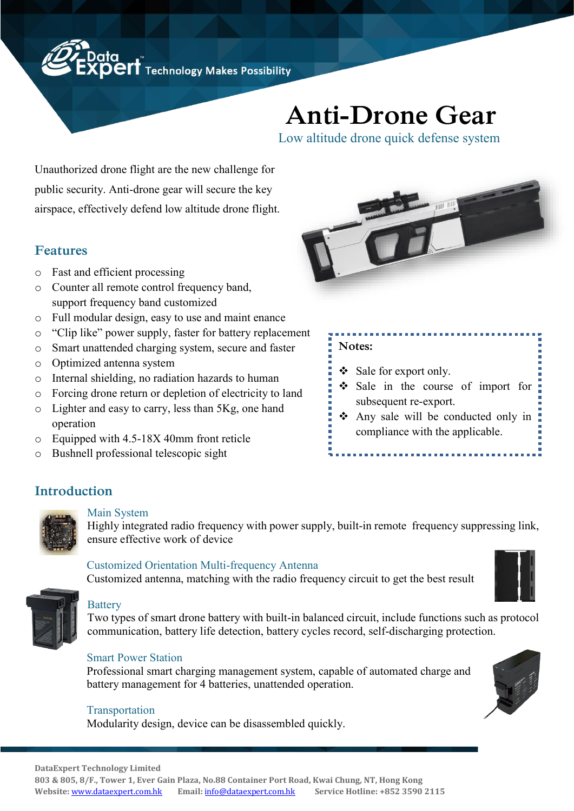Data<br>**XPEIT** Technology Makes Possibility

# **Anti-Drone Gear**

Low altitude drone quick defense system

Unauthorized drone flight are the new challenge for public security. Anti-drone gear will secure the key airspace, effectively defend low altitude drone flight.

# **Features**

- o Fast and efficient processing
- o Counter all remote control frequency band, support frequency band customized
- o Full modular design, easy to use and maint enance
- o "Clip like" power supply, faster for battery replacement
- o Smart unattended charging system, secure and faster
- o Optimized antenna system
- o Internal shielding, no radiation hazards to human
- o Forcing drone return or depletion of electricity to land
- o Lighter and easy to carry, less than 5Kg, one hand operation
- o Equipped with 4.5-18X 40mm front reticle
- o Bushnell professional telescopic sight



## **Notes:**

- ❖ Sale for export only.
- ❖ Sale in the course of import for subsequent re-export.
- ❖ Any sale will be conducted only in compliance with the applicable.

# **Introduction**



#### Main System

Highly integrated radio frequency with power supply, built-in remote frequency suppressing link, ensure effective work of device

#### Customized Orientation Multi-frequency Antenna

Customized antenna, matching with the radio frequency circuit to get the best result



### **Battery**

Two types of smart drone battery with built-in balanced circuit, include functions such as protocol communication, battery life detection, battery cycles record, self-discharging protection.

#### Smart Power Station

 Professional smart charging management system, capable of automated charge and battery management for 4 batteries, unattended operation.

#### **Transportation**

Modularity design, device can be disassembled quickly.